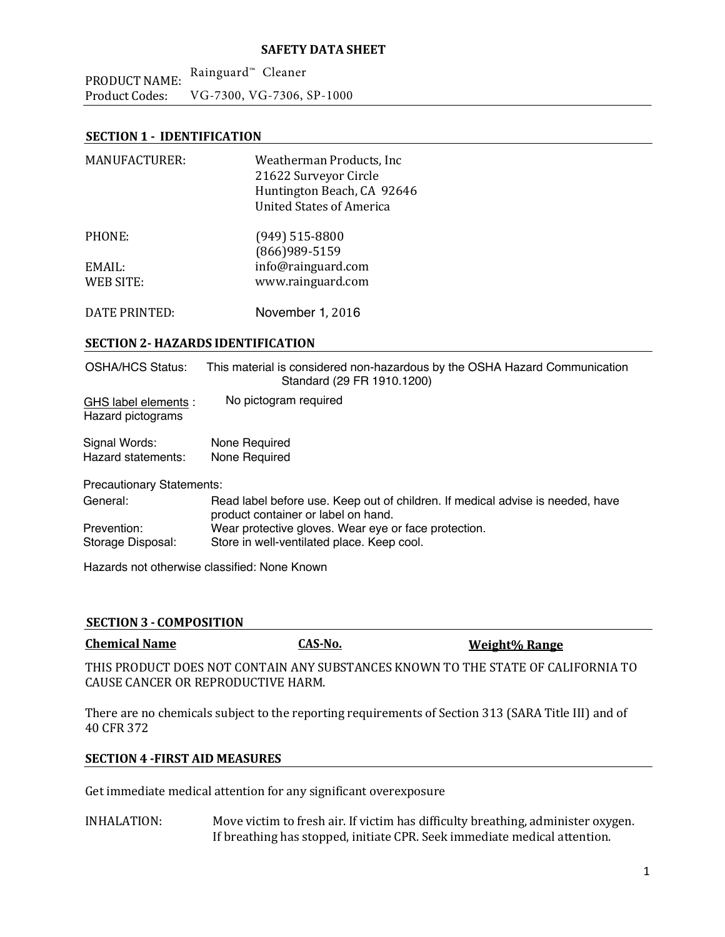PRODUCT NAME: Product Codes: Rainguard™ Cleaner VG‐7300, VG-7306, SP-1000

# **SECTION 1 ‐ IDENTIFICATION**

| <b>MANUFACTURER:</b>                      | Weatherman Products, Inc.<br>21622 Surveyor Circle<br>Huntington Beach, CA 92646<br><b>United States of America</b> |
|-------------------------------------------|---------------------------------------------------------------------------------------------------------------------|
| PHONE:                                    | $(949)$ 515-8800<br>(866) 989-5159                                                                                  |
| EMAIL:                                    | info@rainguard.com                                                                                                  |
| <b>WEB SITE:</b>                          | www.rainguard.com                                                                                                   |
|                                           |                                                                                                                     |
| <b>DATE PRINTED:</b>                      | November 1, 2016                                                                                                    |
| <b>SECTION 2- HAZARDS IDENTIFICATION</b>  |                                                                                                                     |
| OSHA/HCS Status:                          | This material is considered non-hazardous by the OSHA Hazard Communication<br>Standard (29 FR 1910.1200)            |
| GHS label elements :<br>Hazard pictograms | No pictogram required                                                                                               |
| Signal Words:                             | None Required                                                                                                       |
| Hazard statements:                        | None Required                                                                                                       |
|                                           |                                                                                                                     |
| Precautionary Statements:                 |                                                                                                                     |

General: Prevention: Storage Disposal: Read label before use. Keep out of children. If medical advise is needed, have product container or label on hand. Wear protective gloves. Wear eye or face protection. Store in well-ventilated place. Keep cool.

Hazards not otherwise classified: None Known

#### **SECTION 3 ‐ COMPOSITION**

| <b>Chemical Name</b>               | CAS-No. | Weight% Range                                                                    |
|------------------------------------|---------|----------------------------------------------------------------------------------|
|                                    |         | THIS PRODUCT DOES NOT CONTAIN ANY SUBSTANCES KNOWN TO THE STATE OF CALIFORNIA TO |
| CAUSE CANCER OR REPRODUCTIVE HARM. |         |                                                                                  |

There are no chemicals subject to the reporting requirements of Section 313 (SARA Title III) and of 40 CFR 372 

#### **SECTION 4 ‐FIRST AID MEASURES**

Get immediate medical attention for any significant overexposure

INHALATION: Move victim to fresh air. If victim has difficulty breathing, administer oxygen. If breathing has stopped, initiate CPR. Seek immediate medical attention.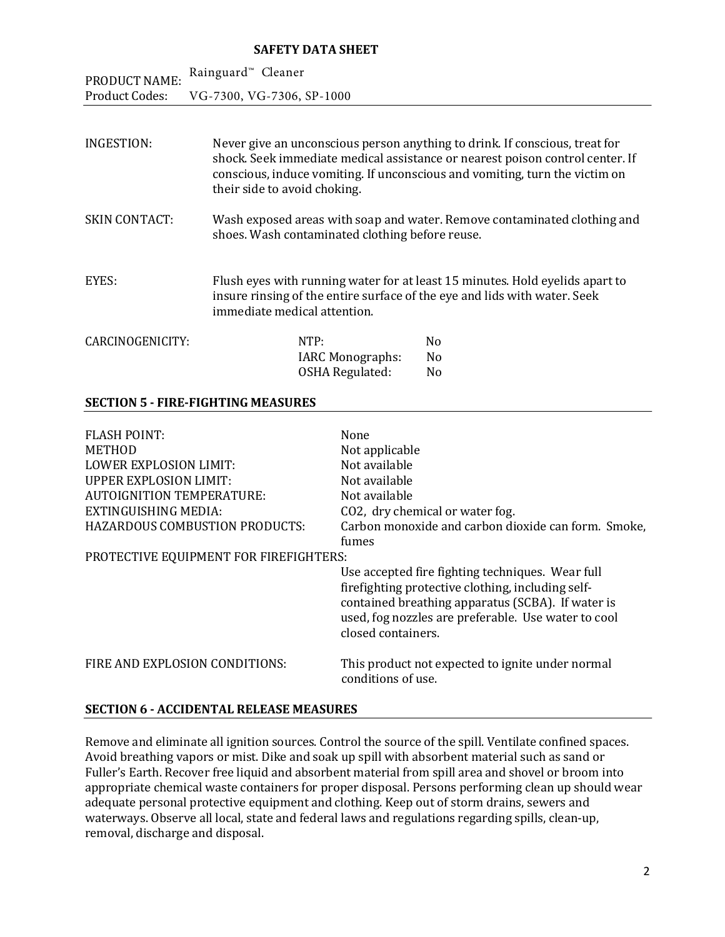| PRODUCT NAME:         | Rainguard <sup>™</sup> Cleaner                                                                                                                                                                                                                                              |
|-----------------------|-----------------------------------------------------------------------------------------------------------------------------------------------------------------------------------------------------------------------------------------------------------------------------|
| <b>Product Codes:</b> | VG-7300, VG-7306, SP-1000                                                                                                                                                                                                                                                   |
| INGESTION:            | Never give an unconscious person anything to drink. If conscious, treat for<br>shock. Seek immediate medical assistance or nearest poison control center. If<br>conscious, induce vomiting. If unconscious and vomiting, turn the victim on<br>their side to avoid choking. |
| <b>SKIN CONTACT:</b>  | Wash exposed areas with soap and water. Remove contaminated clothing and<br>shoes. Wash contaminated clothing before reuse.                                                                                                                                                 |

EYES: Flush eyes with running water for at least 15 minutes. Hold eyelids apart to insure rinsing of the entire surface of the eye and lids with water. Seek immediate medical attention.

| NTP:                    | No. |
|-------------------------|-----|
| <b>IARC Monographs:</b> | No. |
| OSHA Regulated:         | No. |
|                         |     |

## **SECTION 5 ‐ FIRE‐FIGHTING MEASURES**

| <b>FLASH POINT:</b>                    | None                                                                                                                                                                                                                                    |
|----------------------------------------|-----------------------------------------------------------------------------------------------------------------------------------------------------------------------------------------------------------------------------------------|
| <b>METHOD</b>                          | Not applicable                                                                                                                                                                                                                          |
| <b>LOWER EXPLOSION LIMIT:</b>          | Not available                                                                                                                                                                                                                           |
| <b>UPPER EXPLOSION LIMIT:</b>          | Not available                                                                                                                                                                                                                           |
| <b>AUTOIGNITION TEMPERATURE:</b>       | Not available                                                                                                                                                                                                                           |
| EXTINGUISHING MEDIA:                   | CO2, dry chemical or water fog.                                                                                                                                                                                                         |
| <b>HAZARDOUS COMBUSTION PRODUCTS:</b>  | Carbon monoxide and carbon dioxide can form. Smoke,                                                                                                                                                                                     |
|                                        | fumes                                                                                                                                                                                                                                   |
| PROTECTIVE EQUIPMENT FOR FIREFIGHTERS: |                                                                                                                                                                                                                                         |
|                                        | Use accepted fire fighting techniques. Wear full<br>firefighting protective clothing, including self-<br>contained breathing apparatus (SCBA). If water is<br>used, fog nozzles are preferable. Use water to cool<br>closed containers. |
| FIRE AND EXPLOSION CONDITIONS:         | This product not expected to ignite under normal<br>conditions of use.                                                                                                                                                                  |

# **SECTION 6 ‐ ACCIDENTAL RELEASE MEASURES**

Remove and eliminate all ignition sources. Control the source of the spill. Ventilate confined spaces. Avoid breathing vapors or mist. Dike and soak up spill with absorbent material such as sand or Fuller's Earth. Recover free liquid and absorbent material from spill area and shovel or broom into appropriate chemical waste containers for proper disposal. Persons performing clean up should wear adequate personal protective equipment and clothing. Keep out of storm drains, sewers and waterways. Observe all local, state and federal laws and regulations regarding spills, clean-up, removal, discharge and disposal.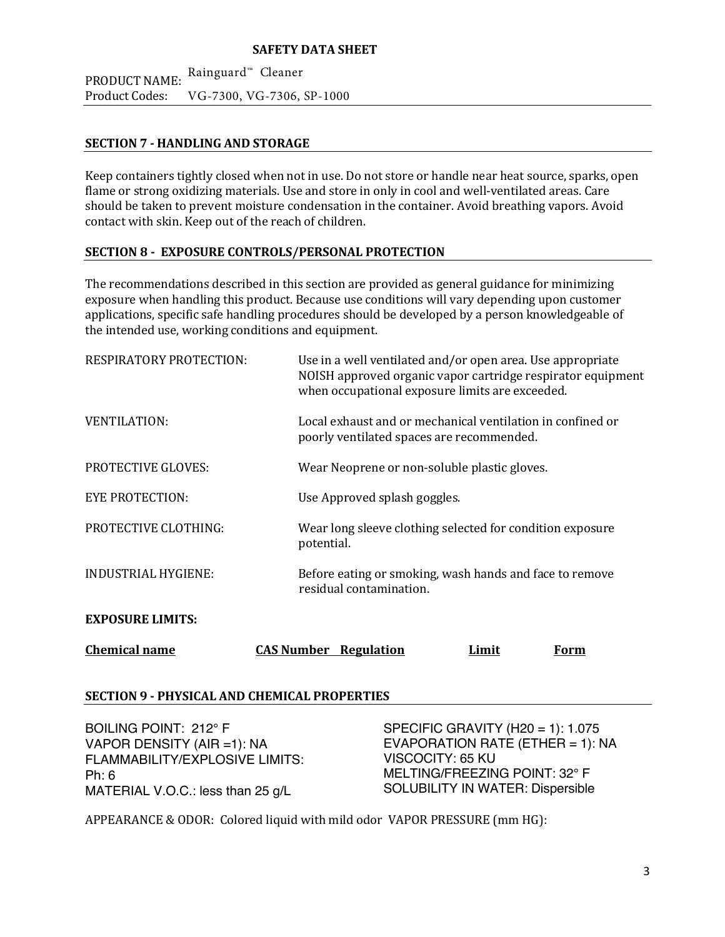PRODUCT NAME: Product Codes: Rainguard™ Cleaner VG‐7300, VG-7306, SP-1000

## **SECTION 7 ‐ HANDLING AND STORAGE**

Keep containers tightly closed when not in use. Do not store or handle near heat source, sparks, open flame or strong oxidizing materials. Use and store in only in cool and well-ventilated areas. Care should be taken to prevent moisture condensation in the container. Avoid breathing vapors. Avoid contact with skin. Keep out of the reach of children.

## **SECTION 8 ‐ EXPOSURE CONTROLS/PERSONAL PROTECTION**

The recommendations described in this section are provided as general guidance for minimizing exposure when handling this product. Because use conditions will vary depending upon customer applications, specific safe handling procedures should be developed by a person knowledgeable of the intended use, working conditions and equipment.

| <b>Chemical name</b>           | <b>CAS Number Regulation</b>                                                                                                                                                 | Limit | Form |
|--------------------------------|------------------------------------------------------------------------------------------------------------------------------------------------------------------------------|-------|------|
| <b>EXPOSURE LIMITS:</b>        |                                                                                                                                                                              |       |      |
| <b>INDUSTRIAL HYGIENE:</b>     | Before eating or smoking, wash hands and face to remove<br>residual contamination.                                                                                           |       |      |
| <b>PROTECTIVE CLOTHING:</b>    | Wear long sleeve clothing selected for condition exposure<br>potential.                                                                                                      |       |      |
| <b>EYE PROTECTION:</b>         | Use Approved splash goggles.                                                                                                                                                 |       |      |
| <b>PROTECTIVE GLOVES:</b>      | Wear Neoprene or non-soluble plastic gloves.                                                                                                                                 |       |      |
| <b>VENTILATION:</b>            | Local exhaust and or mechanical ventilation in confined or<br>poorly ventilated spaces are recommended.                                                                      |       |      |
| <b>RESPIRATORY PROTECTION:</b> | Use in a well ventilated and/or open area. Use appropriate<br>NOISH approved organic vapor cartridge respirator equipment<br>when occupational exposure limits are exceeded. |       |      |

## **SECTION 9 ‐ PHYSICAL AND CHEMICAL PROPERTIES**

BOILING POINT: 212° F VAPOR DENSITY (AIR =1): NA FLAMMABILITY/EXPLOSIVE LIMITS: Ph: 6 MATERIAL V.O.C.: less than 25 g/L

SPECIFIC GRAVITY (H20 = 1): 1.075 EVAPORATION RATE (ETHER = 1):  $NA$ VISCOCITY: 65 KU MELTING/FREEZING POINT: 32° F SOLUBILITY IN WATER: Dispersible

APPEARANCE & ODOR: Colored liquid with mild odor VAPOR PRESSURE (mm HG):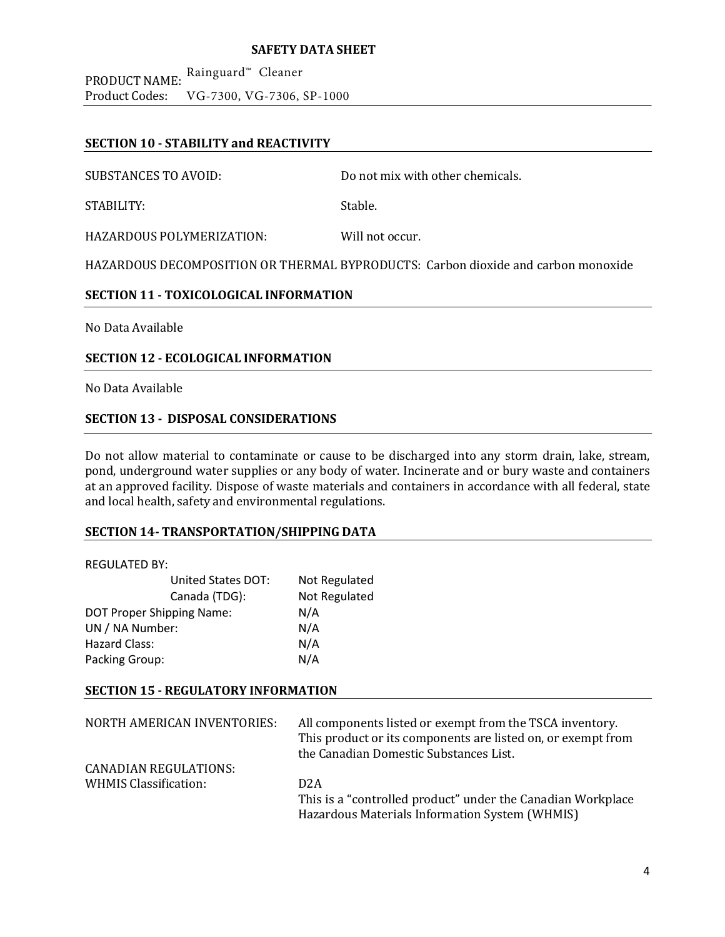PRODUCT NAME: <sup>Rainguard™</sup> Cleaner Product Codes: VG‐7300, VG-7306, SP-1000

## **SECTION 10 ‐ STABILITY and REACTIVITY**

SUBSTANCES TO AVOID: Do not mix with other chemicals.

STABILITY: Stable.

HAZARDOUS POLYMERIZATION: Will not occur.

HAZARDOUS DECOMPOSITION OR THERMAL BYPRODUCTS: Carbon dioxide and carbon monoxide

## **SECTION 11 ‐ TOXICOLOGICAL INFORMATION**

No Data Available 

## **SECTION 12 ‐ ECOLOGICAL INFORMATION**

No Data Available

## **SECTION 13 ‐ DISPOSAL CONSIDERATIONS**

Do not allow material to contaminate or cause to be discharged into any storm drain, lake, stream, pond, underground water supplies or any body of water. Incinerate and or bury waste and containers at an approved facility. Dispose of waste materials and containers in accordance with all federal, state and local health, safety and environmental regulations.

#### **SECTION 14‐ TRANSPORTATION/SHIPPING DATA**

#### REGULATED BY:

| <b>United States DOT:</b>        | Not Regulated |
|----------------------------------|---------------|
| Canada (TDG):                    | Not Regulated |
| <b>DOT Proper Shipping Name:</b> | N/A           |
| UN / NA Number:                  | N/A           |
| Hazard Class:                    | N/A           |
| Packing Group:                   | N/A           |

## **SECTION 15 ‐ REGULATORY INFORMATION**

| NORTH AMERICAN INVENTORIES:  | All components listed or exempt from the TSCA inventory.<br>This product or its components are listed on, or exempt from<br>the Canadian Domestic Substances List. |
|------------------------------|--------------------------------------------------------------------------------------------------------------------------------------------------------------------|
| <b>CANADIAN REGULATIONS:</b> |                                                                                                                                                                    |
| <b>WHMIS Classification:</b> | D <sub>2</sub> A                                                                                                                                                   |
|                              | This is a "controlled product" under the Canadian Workplace                                                                                                        |
|                              | Hazardous Materials Information System (WHMIS)                                                                                                                     |